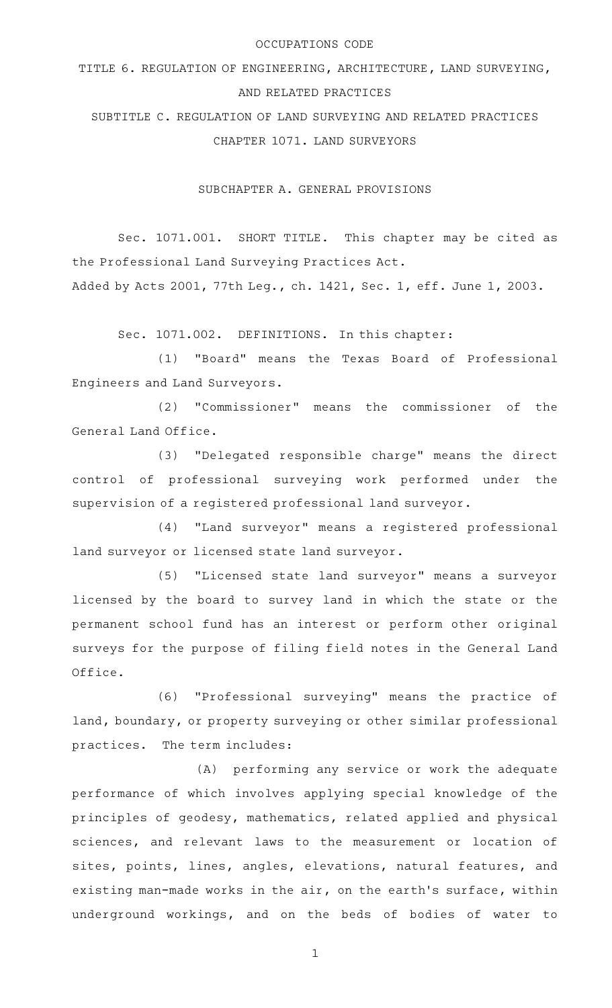### OCCUPATIONS CODE

TITLE 6. REGULATION OF ENGINEERING, ARCHITECTURE, LAND SURVEYING, AND RELATED PRACTICES

SUBTITLE C. REGULATION OF LAND SURVEYING AND RELATED PRACTICES CHAPTER 1071. LAND SURVEYORS

SUBCHAPTER A. GENERAL PROVISIONS

Sec. 1071.001. SHORT TITLE. This chapter may be cited as the Professional Land Surveying Practices Act.

Added by Acts 2001, 77th Leg., ch. 1421, Sec. 1, eff. June 1, 2003.

Sec. 1071.002. DEFINITIONS. In this chapter:

(1) "Board" means the Texas Board of Professional Engineers and Land Surveyors.

(2) "Commissioner" means the commissioner of the General Land Office.

(3) "Delegated responsible charge" means the direct control of professional surveying work performed under the supervision of a registered professional land surveyor.

(4) "Land surveyor" means a registered professional land surveyor or licensed state land surveyor.

(5) "Licensed state land surveyor" means a surveyor licensed by the board to survey land in which the state or the permanent school fund has an interest or perform other original surveys for the purpose of filing field notes in the General Land Office.

(6) "Professional surveying" means the practice of land, boundary, or property surveying or other similar professional practices. The term includes:

(A) performing any service or work the adequate performance of which involves applying special knowledge of the principles of geodesy, mathematics, related applied and physical sciences, and relevant laws to the measurement or location of sites, points, lines, angles, elevations, natural features, and existing man-made works in the air, on the earth's surface, within underground workings, and on the beds of bodies of water to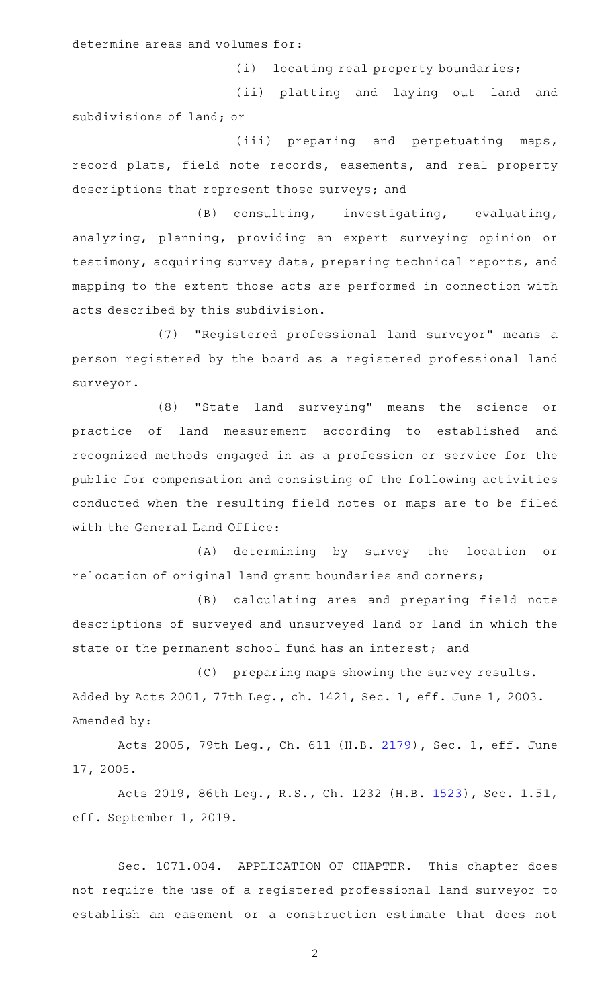determine areas and volumes for:

(i) locating real property boundaries;

(ii) platting and laying out land and subdivisions of land; or

(iii) preparing and perpetuating maps, record plats, field note records, easements, and real property descriptions that represent those surveys; and

 $(B)$  consulting, investigating, evaluating, analyzing, planning, providing an expert surveying opinion or testimony, acquiring survey data, preparing technical reports, and mapping to the extent those acts are performed in connection with acts described by this subdivision.

(7) "Registered professional land surveyor" means a person registered by the board as a registered professional land surveyor.

(8) "State land surveying" means the science or practice of land measurement according to established and recognized methods engaged in as a profession or service for the public for compensation and consisting of the following activities conducted when the resulting field notes or maps are to be filed with the General Land Office:

(A) determining by survey the location or relocation of original land grant boundaries and corners;

(B) calculating area and preparing field note descriptions of surveyed and unsurveyed land or land in which the state or the permanent school fund has an interest; and

(C) preparing maps showing the survey results. Added by Acts 2001, 77th Leg., ch. 1421, Sec. 1, eff. June 1, 2003. Amended by:

Acts 2005, 79th Leg., Ch. 611 (H.B. [2179\)](http://www.legis.state.tx.us/tlodocs/79R/billtext/html/HB02179F.HTM), Sec. 1, eff. June 17, 2005.

Acts 2019, 86th Leg., R.S., Ch. 1232 (H.B. [1523](http://www.legis.state.tx.us/tlodocs/86R/billtext/html/HB01523F.HTM)), Sec. 1.51, eff. September 1, 2019.

Sec. 1071.004. APPLICATION OF CHAPTER. This chapter does not require the use of a registered professional land surveyor to establish an easement or a construction estimate that does not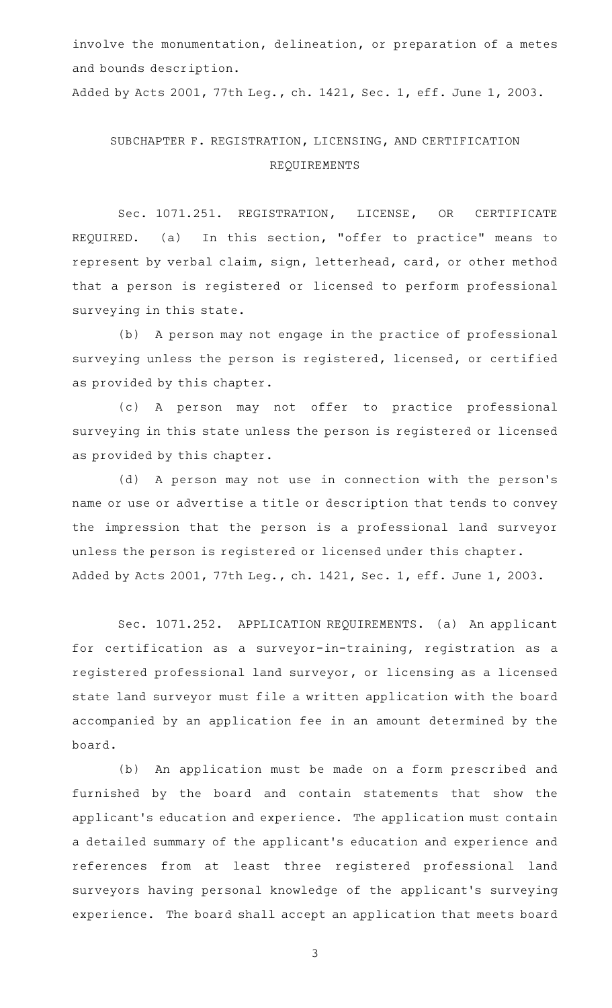involve the monumentation, delineation, or preparation of a metes and bounds description.

Added by Acts 2001, 77th Leg., ch. 1421, Sec. 1, eff. June 1, 2003.

# SUBCHAPTER F. REGISTRATION, LICENSING, AND CERTIFICATION REQUIREMENTS

Sec. 1071.251. REGISTRATION, LICENSE, OR CERTIFICATE REQUIRED. (a) In this section, "offer to practice" means to represent by verbal claim, sign, letterhead, card, or other method that a person is registered or licensed to perform professional surveying in this state.

(b) A person may not engage in the practice of professional surveying unless the person is registered, licensed, or certified as provided by this chapter.

(c)AAA person may not offer to practice professional surveying in this state unless the person is registered or licensed as provided by this chapter.

(d) A person may not use in connection with the person's name or use or advertise a title or description that tends to convey the impression that the person is a professional land surveyor unless the person is registered or licensed under this chapter. Added by Acts 2001, 77th Leg., ch. 1421, Sec. 1, eff. June 1, 2003.

Sec. 1071.252. APPLICATION REQUIREMENTS. (a) An applicant for certification as a surveyor-in-training, registration as a registered professional land surveyor, or licensing as a licensed state land surveyor must file a written application with the board accompanied by an application fee in an amount determined by the board.

(b) An application must be made on a form prescribed and furnished by the board and contain statements that show the applicant 's education and experience. The application must contain a detailed summary of the applicant 's education and experience and references from at least three registered professional land surveyors having personal knowledge of the applicant 's surveying experience. The board shall accept an application that meets board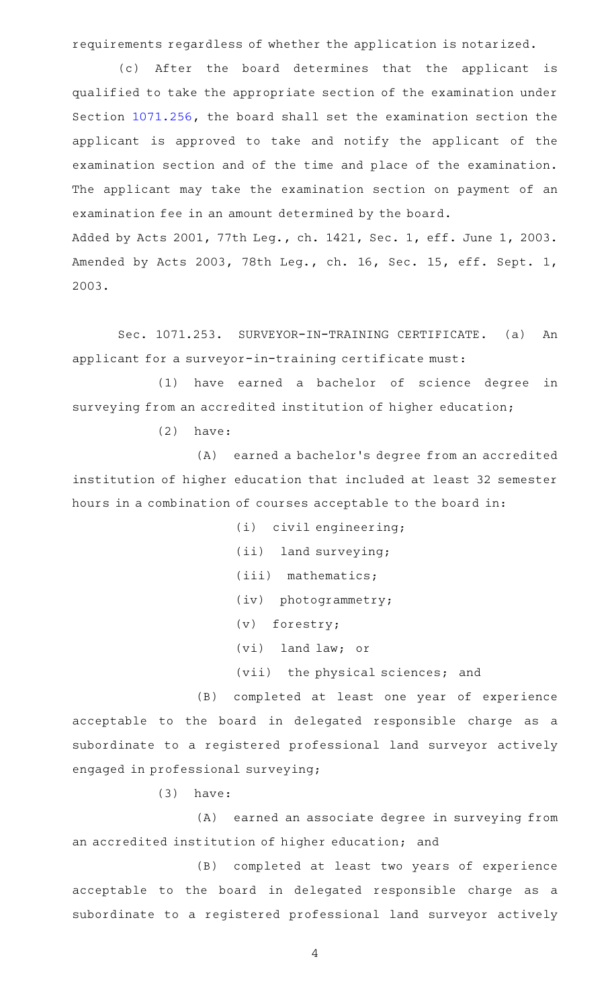requirements regardless of whether the application is notarized.

(c) After the board determines that the applicant is qualified to take the appropriate section of the examination under Section [1071.256](http://www.statutes.legis.state.tx.us/GetStatute.aspx?Code=OC&Value=1071.256), the board shall set the examination section the applicant is approved to take and notify the applicant of the examination section and of the time and place of the examination. The applicant may take the examination section on payment of an examination fee in an amount determined by the board. Added by Acts 2001, 77th Leg., ch. 1421, Sec. 1, eff. June 1, 2003. Amended by Acts 2003, 78th Leg., ch. 16, Sec. 15, eff. Sept. 1, 2003.

Sec. 1071.253. SURVEYOR-IN-TRAINING CERTIFICATE. (a) An applicant for a surveyor-in-training certificate must:

(1) have earned a bachelor of science degree in surveying from an accredited institution of higher education;

 $(2)$  have:

(A) earned a bachelor's degree from an accredited institution of higher education that included at least 32 semester hours in a combination of courses acceptable to the board in:

- (i) civil engineering;
- (ii) land surveying;
- (iii) mathematics;
- (iv) photogrammetry;
- (v) forestry;
- (vi) land law; or
- (vii) the physical sciences; and

(B) completed at least one year of experience acceptable to the board in delegated responsible charge as a subordinate to a registered professional land surveyor actively engaged in professional surveying;

 $(3)$  have:

(A) earned an associate degree in surveying from an accredited institution of higher education; and

(B) completed at least two years of experience acceptable to the board in delegated responsible charge as a subordinate to a registered professional land surveyor actively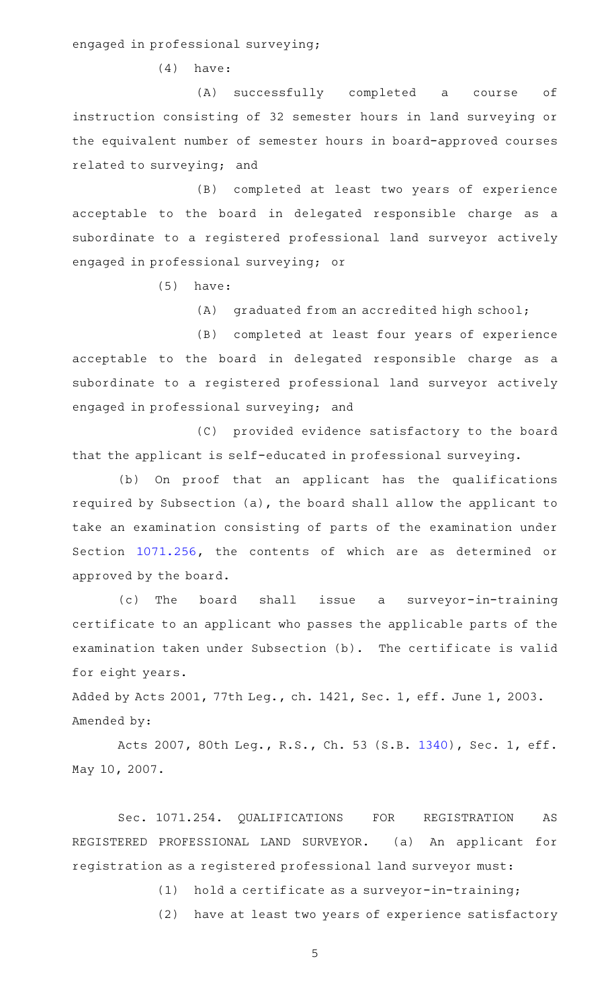engaged in professional surveying;

 $(4)$  have:

(A) successfully completed a course of instruction consisting of 32 semester hours in land surveying or the equivalent number of semester hours in board-approved courses related to surveying; and

(B) completed at least two years of experience acceptable to the board in delegated responsible charge as a subordinate to a registered professional land surveyor actively engaged in professional surveying; or

 $(5)$  have:

(A) graduated from an accredited high school;

(B) completed at least four years of experience acceptable to the board in delegated responsible charge as a subordinate to a registered professional land surveyor actively engaged in professional surveying; and

(C) provided evidence satisfactory to the board that the applicant is self-educated in professional surveying.

(b) On proof that an applicant has the qualifications required by Subsection (a), the board shall allow the applicant to take an examination consisting of parts of the examination under Section [1071.256](http://www.statutes.legis.state.tx.us/GetStatute.aspx?Code=OC&Value=1071.256), the contents of which are as determined or approved by the board.

(c) The board shall issue a surveyor-in-training certificate to an applicant who passes the applicable parts of the examination taken under Subsection (b). The certificate is valid for eight years.

Added by Acts 2001, 77th Leg., ch. 1421, Sec. 1, eff. June 1, 2003. Amended by:

Acts 2007, 80th Leg., R.S., Ch. 53 (S.B. [1340](http://www.legis.state.tx.us/tlodocs/80R/billtext/html/SB01340F.HTM)), Sec. 1, eff. May 10, 2007.

Sec. 1071.254. QUALIFICATIONS FOR REGISTRATION AS REGISTERED PROFESSIONAL LAND SURVEYOR. (a) An applicant for registration as a registered professional land surveyor must:

 $(1)$  hold a certificate as a surveyor-in-training;

(2) have at least two years of experience satisfactory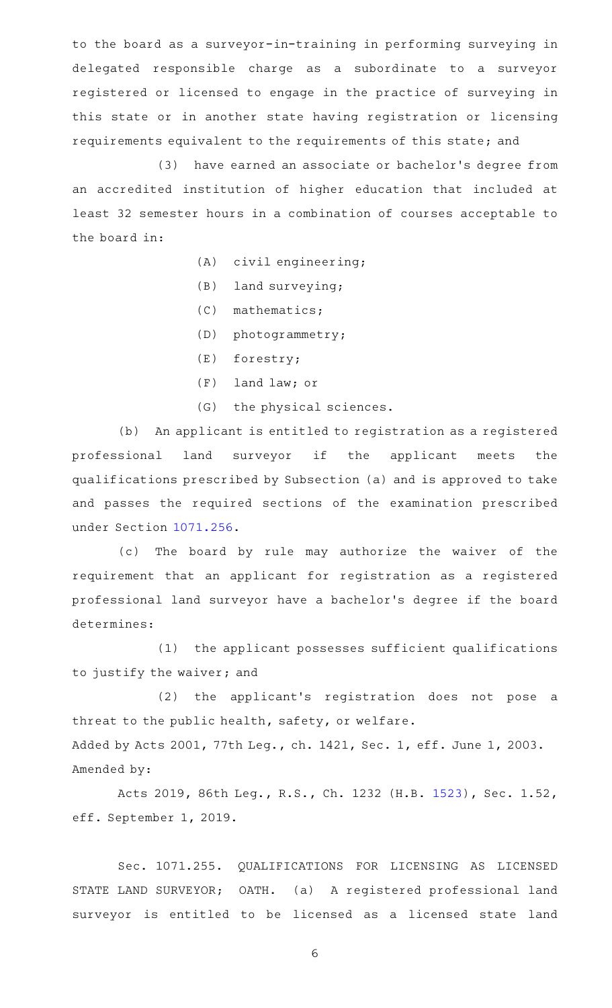to the board as a surveyor-in-training in performing surveying in delegated responsible charge as a subordinate to a surveyor registered or licensed to engage in the practice of surveying in this state or in another state having registration or licensing requirements equivalent to the requirements of this state; and

(3) have earned an associate or bachelor's degree from an accredited institution of higher education that included at least 32 semester hours in a combination of courses acceptable to the board in:

 $(A)$  civil engineering;

- $(B)$  land surveying;
- (C) mathematics;
- (D) photogrammetry;
- $(E)$  forestry;
- (F) land law; or
- (G) the physical sciences.

(b) An applicant is entitled to registration as a registered professional land surveyor if the applicant meets the qualifications prescribed by Subsection (a) and is approved to take and passes the required sections of the examination prescribed under Section [1071.256](http://www.statutes.legis.state.tx.us/GetStatute.aspx?Code=OC&Value=1071.256).

(c) The board by rule may authorize the waiver of the requirement that an applicant for registration as a registered professional land surveyor have a bachelor 's degree if the board determines:

(1) the applicant possesses sufficient qualifications to justify the waiver; and

(2) the applicant's registration does not pose a threat to the public health, safety, or welfare. Added by Acts 2001, 77th Leg., ch. 1421, Sec. 1, eff. June 1, 2003. Amended by:

Acts 2019, 86th Leg., R.S., Ch. 1232 (H.B. [1523](http://www.legis.state.tx.us/tlodocs/86R/billtext/html/HB01523F.HTM)), Sec. 1.52, eff. September 1, 2019.

Sec. 1071.255. QUALIFICATIONS FOR LICENSING AS LICENSED STATE LAND SURVEYOR; OATH. (a) A registered professional land surveyor is entitled to be licensed as a licensed state land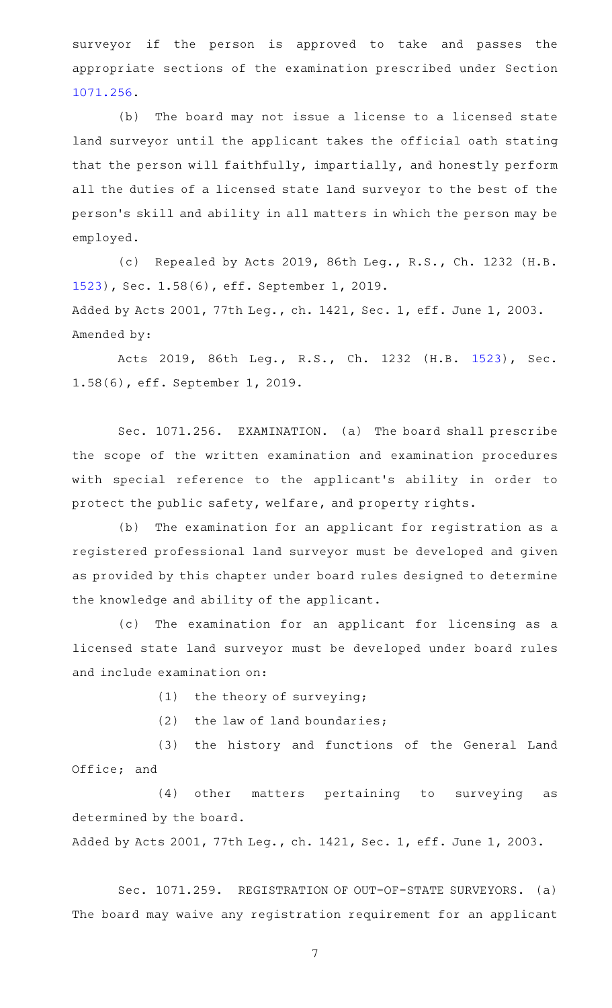surveyor if the person is approved to take and passes the appropriate sections of the examination prescribed under Section [1071.256](http://www.statutes.legis.state.tx.us/GetStatute.aspx?Code=OC&Value=1071.256).

(b) The board may not issue a license to a licensed state land surveyor until the applicant takes the official oath stating that the person will faithfully, impartially, and honestly perform all the duties of a licensed state land surveyor to the best of the person 's skill and ability in all matters in which the person may be employed.

(c) Repealed by Acts 2019, 86th Leg., R.S., Ch. 1232 (H.B. [1523](http://www.legis.state.tx.us/tlodocs/86R/billtext/html/HB01523F.HTM)), Sec. 1.58(6), eff. September 1, 2019. Added by Acts 2001, 77th Leg., ch. 1421, Sec. 1, eff. June 1, 2003. Amended by:

Acts 2019, 86th Leg., R.S., Ch. 1232 (H.B. [1523\)](http://www.legis.state.tx.us/tlodocs/86R/billtext/html/HB01523F.HTM), Sec. 1.58(6), eff. September 1, 2019.

Sec. 1071.256. EXAMINATION. (a) The board shall prescribe the scope of the written examination and examination procedures with special reference to the applicant 's ability in order to protect the public safety, welfare, and property rights.

(b) The examination for an applicant for registration as a registered professional land surveyor must be developed and given as provided by this chapter under board rules designed to determine the knowledge and ability of the applicant.

(c) The examination for an applicant for licensing as a licensed state land surveyor must be developed under board rules and include examination on:

(1) the theory of surveying;

 $(2)$  the law of land boundaries;

(3) the history and functions of the General Land Office; and

(4) other matters pertaining to surveying as determined by the board.

Added by Acts 2001, 77th Leg., ch. 1421, Sec. 1, eff. June 1, 2003.

Sec. 1071.259. REGISTRATION OF OUT-OF-STATE SURVEYORS. (a) The board may waive any registration requirement for an applicant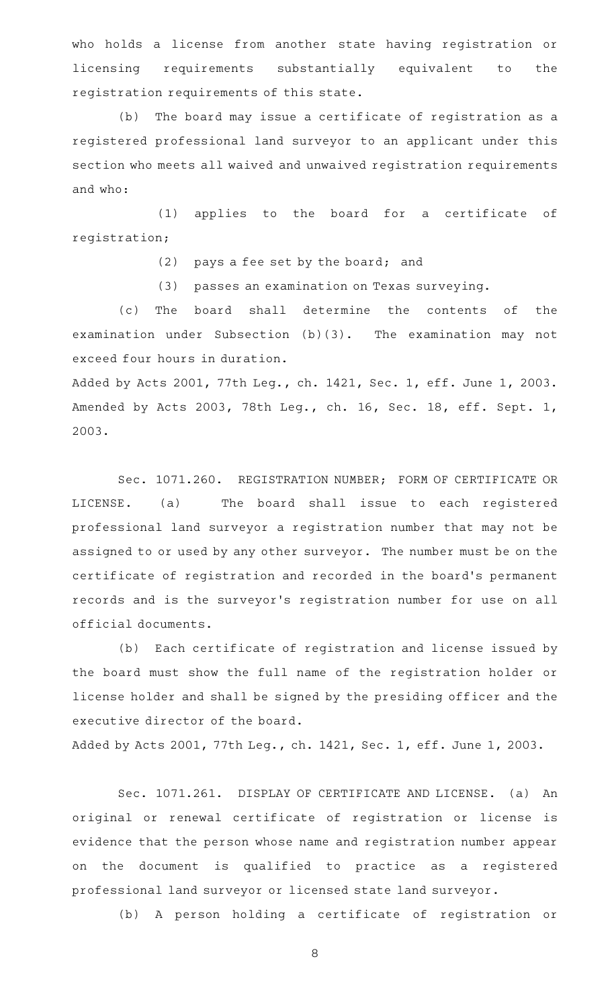who holds a license from another state having registration or licensing requirements substantially equivalent to the registration requirements of this state.

(b) The board may issue a certificate of registration as a registered professional land surveyor to an applicant under this section who meets all waived and unwaived registration requirements and who:

(1) applies to the board for a certificate of registration;

(2) pays a fee set by the board; and

 $(3)$  passes an examination on Texas surveying.

(c) The board shall determine the contents of the examination under Subsection (b)(3). The examination may not exceed four hours in duration.

Added by Acts 2001, 77th Leg., ch. 1421, Sec. 1, eff. June 1, 2003. Amended by Acts 2003, 78th Leg., ch. 16, Sec. 18, eff. Sept. 1, 2003.

Sec. 1071.260. REGISTRATION NUMBER; FORM OF CERTIFICATE OR LICENSE. (a) The board shall issue to each registered professional land surveyor a registration number that may not be assigned to or used by any other surveyor. The number must be on the certificate of registration and recorded in the board's permanent records and is the surveyor 's registration number for use on all official documents.

(b) Each certificate of registration and license issued by the board must show the full name of the registration holder or license holder and shall be signed by the presiding officer and the executive director of the board.

Added by Acts 2001, 77th Leg., ch. 1421, Sec. 1, eff. June 1, 2003.

Sec. 1071.261. DISPLAY OF CERTIFICATE AND LICENSE. (a) An original or renewal certificate of registration or license is evidence that the person whose name and registration number appear on the document is qualified to practice as a registered professional land surveyor or licensed state land surveyor.

(b) A person holding a certificate of registration or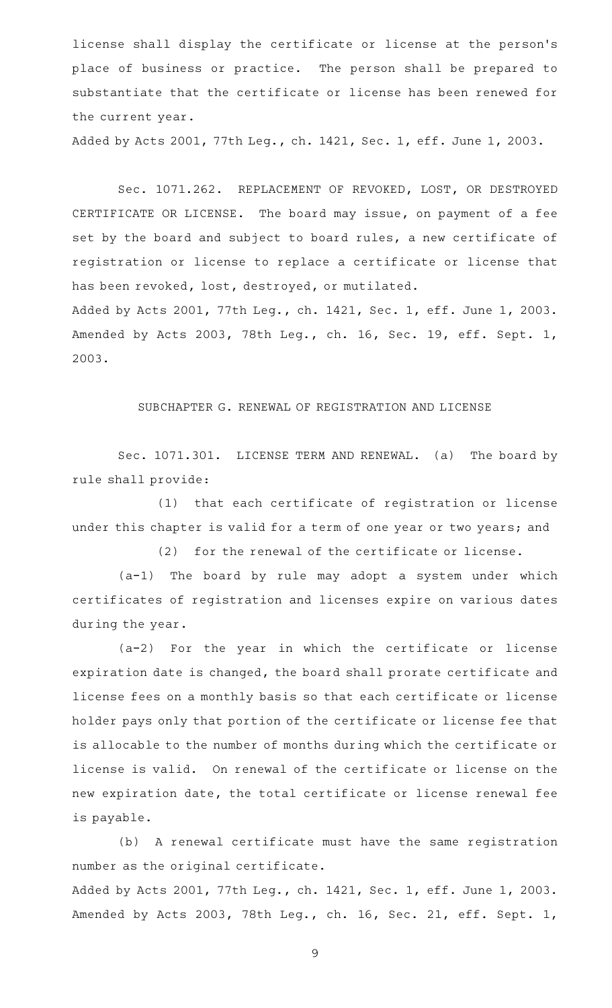license shall display the certificate or license at the person's place of business or practice. The person shall be prepared to substantiate that the certificate or license has been renewed for the current year.

Added by Acts 2001, 77th Leg., ch. 1421, Sec. 1, eff. June 1, 2003.

Sec. 1071.262. REPLACEMENT OF REVOKED, LOST, OR DESTROYED CERTIFICATE OR LICENSE. The board may issue, on payment of a fee set by the board and subject to board rules, a new certificate of registration or license to replace a certificate or license that has been revoked, lost, destroyed, or mutilated. Added by Acts 2001, 77th Leg., ch. 1421, Sec. 1, eff. June 1, 2003. Amended by Acts 2003, 78th Leg., ch. 16, Sec. 19, eff. Sept. 1,

SUBCHAPTER G. RENEWAL OF REGISTRATION AND LICENSE

2003.

Sec. 1071.301. LICENSE TERM AND RENEWAL. (a) The board by rule shall provide:

(1) that each certificate of registration or license under this chapter is valid for a term of one year or two years; and

(2) for the renewal of the certificate or license.

 $(a-1)$  The board by rule may adopt a system under which certificates of registration and licenses expire on various dates during the year.

 $(a-2)$  For the year in which the certificate or license expiration date is changed, the board shall prorate certificate and license fees on a monthly basis so that each certificate or license holder pays only that portion of the certificate or license fee that is allocable to the number of months during which the certificate or license is valid. On renewal of the certificate or license on the new expiration date, the total certificate or license renewal fee is payable.

(b) A renewal certificate must have the same registration number as the original certificate.

Added by Acts 2001, 77th Leg., ch. 1421, Sec. 1, eff. June 1, 2003. Amended by Acts 2003, 78th Leg., ch. 16, Sec. 21, eff. Sept. 1,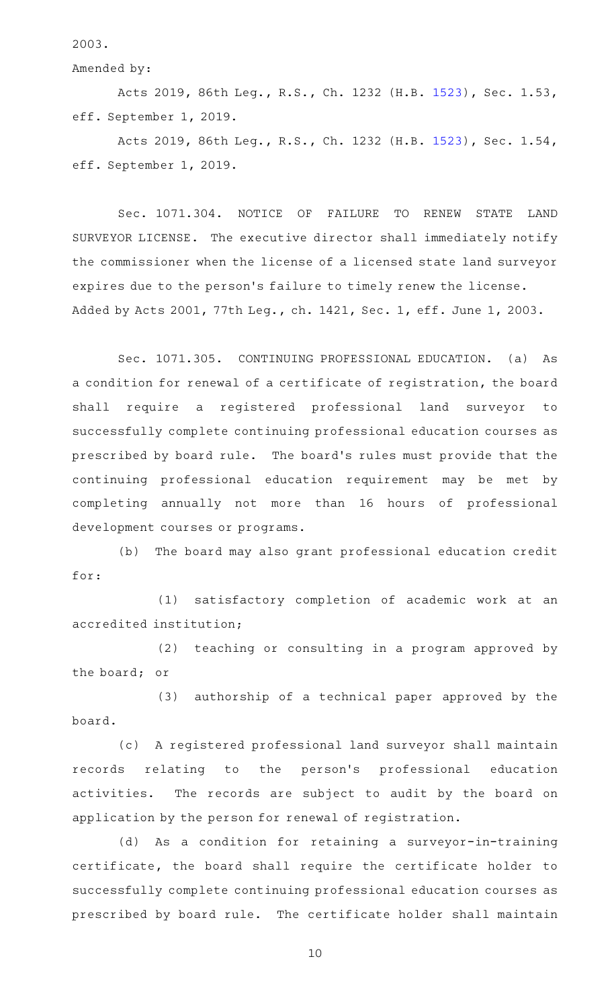2003.

Amended by:

Acts 2019, 86th Leg., R.S., Ch. 1232 (H.B. [1523](http://www.legis.state.tx.us/tlodocs/86R/billtext/html/HB01523F.HTM)), Sec. 1.53, eff. September 1, 2019.

Acts 2019, 86th Leg., R.S., Ch. 1232 (H.B. [1523](http://www.legis.state.tx.us/tlodocs/86R/billtext/html/HB01523F.HTM)), Sec. 1.54, eff. September 1, 2019.

Sec. 1071.304. NOTICE OF FAILURE TO RENEW STATE LAND SURVEYOR LICENSE. The executive director shall immediately notify the commissioner when the license of a licensed state land surveyor expires due to the person 's failure to timely renew the license. Added by Acts 2001, 77th Leg., ch. 1421, Sec. 1, eff. June 1, 2003.

Sec. 1071.305. CONTINUING PROFESSIONAL EDUCATION. (a) As a condition for renewal of a certificate of registration, the board shall require a registered professional land surveyor to successfully complete continuing professional education courses as prescribed by board rule. The board's rules must provide that the continuing professional education requirement may be met by completing annually not more than 16 hours of professional development courses or programs.

(b) The board may also grant professional education credit for:

(1) satisfactory completion of academic work at an accredited institution;

(2) teaching or consulting in a program approved by the board; or

(3) authorship of a technical paper approved by the board.

(c) A registered professional land surveyor shall maintain records relating to the person 's professional education activities. The records are subject to audit by the board on application by the person for renewal of registration.

(d) As a condition for retaining a surveyor-in-training certificate, the board shall require the certificate holder to successfully complete continuing professional education courses as prescribed by board rule. The certificate holder shall maintain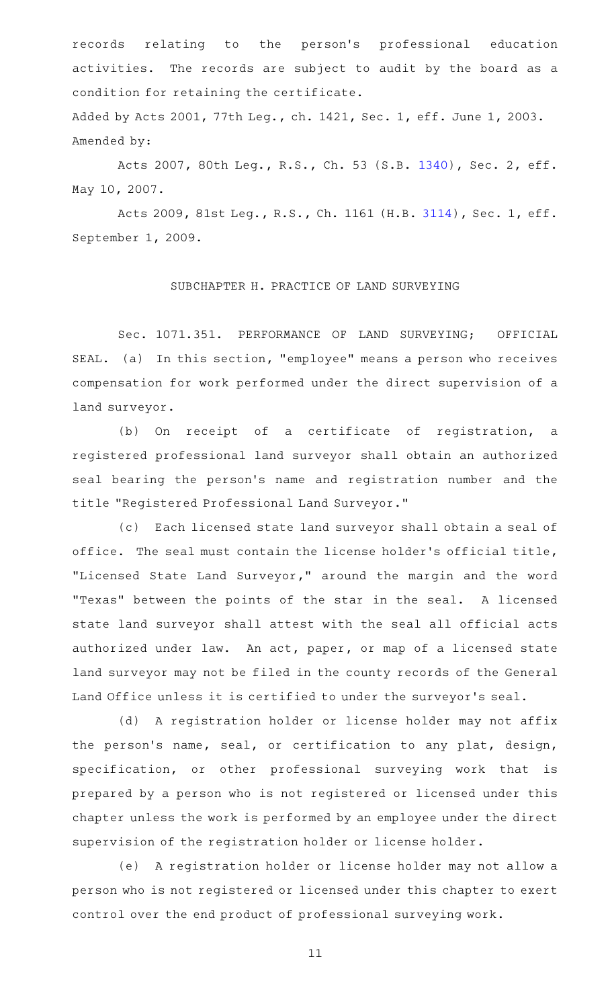records relating to the person 's professional education activities. The records are subject to audit by the board as a condition for retaining the certificate. Added by Acts 2001, 77th Leg., ch. 1421, Sec. 1, eff. June 1, 2003.

Amended by:

Acts 2007, 80th Leg., R.S., Ch. 53 (S.B. [1340](http://www.legis.state.tx.us/tlodocs/80R/billtext/html/SB01340F.HTM)), Sec. 2, eff. May 10, 2007.

Acts 2009, 81st Leg., R.S., Ch. 1161 (H.B. [3114](http://www.legis.state.tx.us/tlodocs/81R/billtext/html/HB03114F.HTM)), Sec. 1, eff. September 1, 2009.

## SUBCHAPTER H. PRACTICE OF LAND SURVEYING

Sec. 1071.351. PERFORMANCE OF LAND SURVEYING; OFFICIAL SEAL. (a) In this section, "employee" means a person who receives compensation for work performed under the direct supervision of a land surveyor.

(b) On receipt of a certificate of registration, a registered professional land surveyor shall obtain an authorized seal bearing the person 's name and registration number and the title "Registered Professional Land Surveyor."

(c) Each licensed state land surveyor shall obtain a seal of office. The seal must contain the license holder 's official title, "Licensed State Land Surveyor," around the margin and the word "Texas" between the points of the star in the seal. A licensed state land surveyor shall attest with the seal all official acts authorized under law. An act, paper, or map of a licensed state land surveyor may not be filed in the county records of the General Land Office unless it is certified to under the surveyor 's seal.

(d) A registration holder or license holder may not affix the person's name, seal, or certification to any plat, design, specification, or other professional surveying work that is prepared by a person who is not registered or licensed under this chapter unless the work is performed by an employee under the direct supervision of the registration holder or license holder.

(e) A registration holder or license holder may not allow a person who is not registered or licensed under this chapter to exert control over the end product of professional surveying work.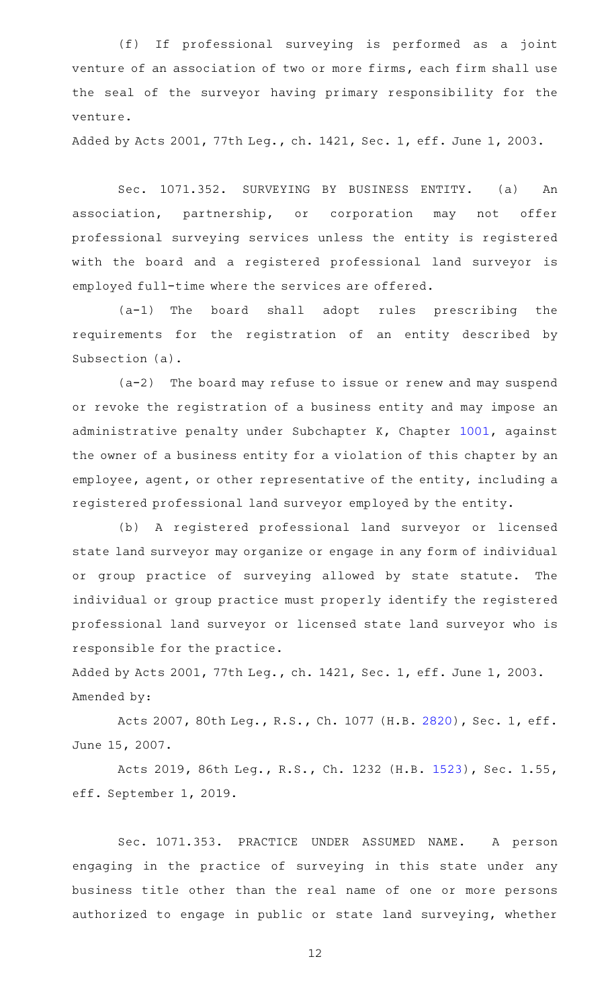(f) If professional surveying is performed as a joint venture of an association of two or more firms, each firm shall use the seal of the surveyor having primary responsibility for the venture.

Added by Acts 2001, 77th Leg., ch. 1421, Sec. 1, eff. June 1, 2003.

Sec. 1071.352. SURVEYING BY BUSINESS ENTITY. (a) An association, partnership, or corporation may not offer professional surveying services unless the entity is registered with the board and a registered professional land surveyor is employed full-time where the services are offered.

(a-1) The board shall adopt rules prescribing the requirements for the registration of an entity described by Subsection (a).

 $(a-2)$  The board may refuse to issue or renew and may suspend or revoke the registration of a business entity and may impose an administrative penalty under Subchapter K, Chapter [1001,](http://www.statutes.legis.state.tx.us/GetStatute.aspx?Code=OC&Value=1001) against the owner of a business entity for a violation of this chapter by an employee, agent, or other representative of the entity, including a registered professional land surveyor employed by the entity.

(b) A registered professional land surveyor or licensed state land surveyor may organize or engage in any form of individual or group practice of surveying allowed by state statute. The individual or group practice must properly identify the registered professional land surveyor or licensed state land surveyor who is responsible for the practice.

Added by Acts 2001, 77th Leg., ch. 1421, Sec. 1, eff. June 1, 2003. Amended by:

Acts 2007, 80th Leg., R.S., Ch. 1077 (H.B. [2820](http://www.legis.state.tx.us/tlodocs/80R/billtext/html/HB02820F.HTM)), Sec. 1, eff. June 15, 2007.

Acts 2019, 86th Leg., R.S., Ch. 1232 (H.B. [1523](http://www.legis.state.tx.us/tlodocs/86R/billtext/html/HB01523F.HTM)), Sec. 1.55, eff. September 1, 2019.

Sec. 1071.353. PRACTICE UNDER ASSUMED NAME. A person engaging in the practice of surveying in this state under any business title other than the real name of one or more persons authorized to engage in public or state land surveying, whether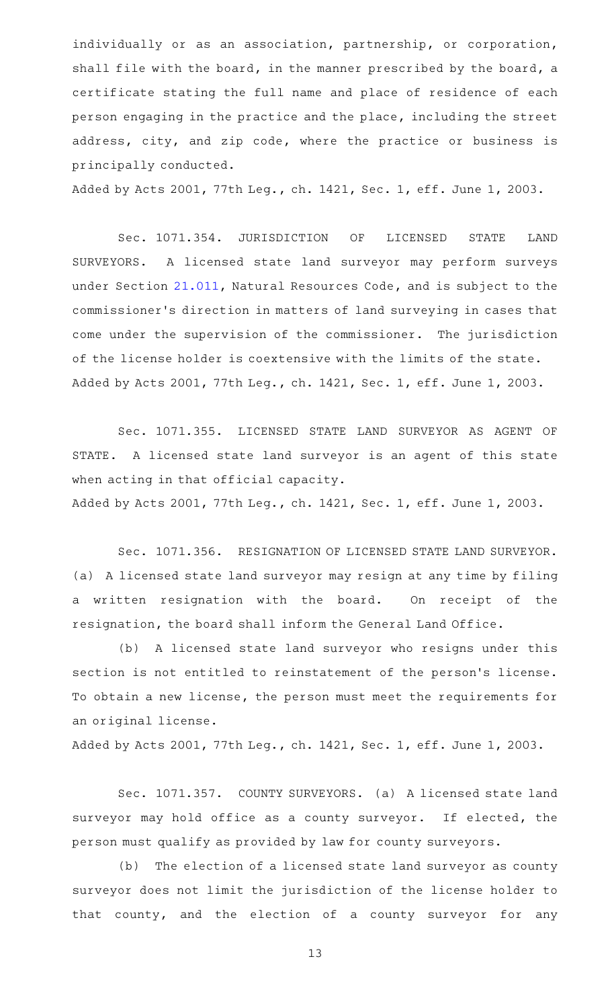individually or as an association, partnership, or corporation, shall file with the board, in the manner prescribed by the board, a certificate stating the full name and place of residence of each person engaging in the practice and the place, including the street address, city, and zip code, where the practice or business is principally conducted.

Added by Acts 2001, 77th Leg., ch. 1421, Sec. 1, eff. June 1, 2003.

Sec. 1071.354. JURISDICTION OF LICENSED STATE LAND SURVEYORS. A licensed state land surveyor may perform surveys under Section [21.011,](http://www.statutes.legis.state.tx.us/GetStatute.aspx?Code=NR&Value=21.011) Natural Resources Code, and is subject to the commissioner 's direction in matters of land surveying in cases that come under the supervision of the commissioner. The jurisdiction of the license holder is coextensive with the limits of the state. Added by Acts 2001, 77th Leg., ch. 1421, Sec. 1, eff. June 1, 2003.

Sec. 1071.355. LICENSED STATE LAND SURVEYOR AS AGENT OF STATE. A licensed state land surveyor is an agent of this state when acting in that official capacity.

Added by Acts 2001, 77th Leg., ch. 1421, Sec. 1, eff. June 1, 2003.

Sec. 1071.356. RESIGNATION OF LICENSED STATE LAND SURVEYOR. (a) A licensed state land surveyor may resign at any time by filing a written resignation with the board. On receipt of the resignation, the board shall inform the General Land Office.

(b) A licensed state land surveyor who resigns under this section is not entitled to reinstatement of the person's license. To obtain a new license, the person must meet the requirements for an original license.

Added by Acts 2001, 77th Leg., ch. 1421, Sec. 1, eff. June 1, 2003.

Sec. 1071.357. COUNTY SURVEYORS. (a) A licensed state land surveyor may hold office as a county surveyor. If elected, the person must qualify as provided by law for county surveyors.

(b) The election of a licensed state land surveyor as county surveyor does not limit the jurisdiction of the license holder to that county, and the election of a county surveyor for any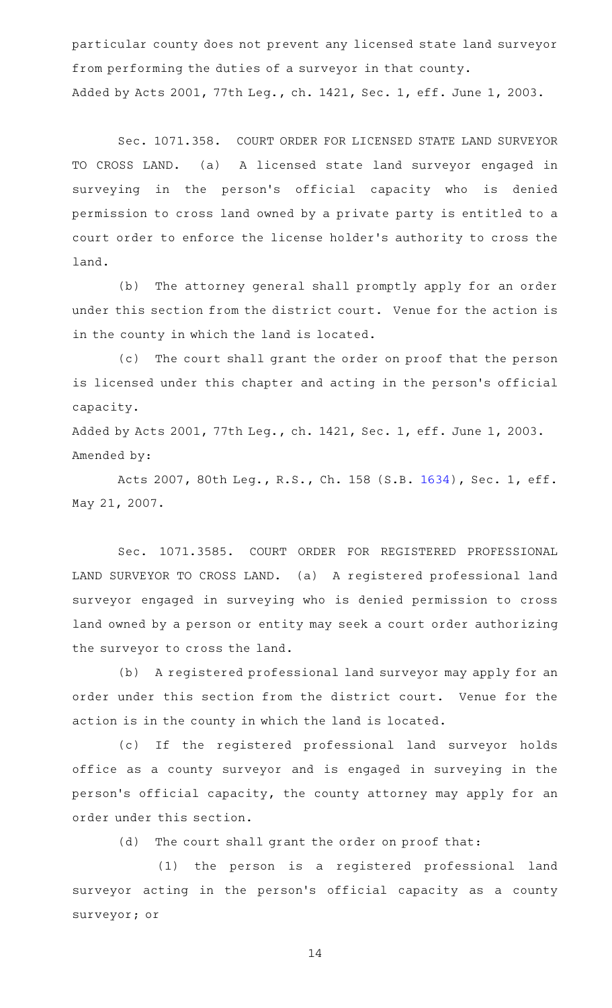particular county does not prevent any licensed state land surveyor from performing the duties of a surveyor in that county. Added by Acts 2001, 77th Leg., ch. 1421, Sec. 1, eff. June 1, 2003.

Sec. 1071.358. COURT ORDER FOR LICENSED STATE LAND SURVEYOR TO CROSS LAND. (a) A licensed state land surveyor engaged in surveying in the person's official capacity who is denied permission to cross land owned by a private party is entitled to a court order to enforce the license holder 's authority to cross the land.

(b) The attorney general shall promptly apply for an order under this section from the district court. Venue for the action is in the county in which the land is located.

(c) The court shall grant the order on proof that the person is licensed under this chapter and acting in the person 's official capacity.

Added by Acts 2001, 77th Leg., ch. 1421, Sec. 1, eff. June 1, 2003. Amended by:

Acts 2007, 80th Leg., R.S., Ch. 158 (S.B. [1634](http://www.legis.state.tx.us/tlodocs/80R/billtext/html/SB01634F.HTM)), Sec. 1, eff. May 21, 2007.

Sec. 1071.3585. COURT ORDER FOR REGISTERED PROFESSIONAL LAND SURVEYOR TO CROSS LAND. (a) A registered professional land surveyor engaged in surveying who is denied permission to cross land owned by a person or entity may seek a court order authorizing the surveyor to cross the land.

(b) A registered professional land surveyor may apply for an order under this section from the district court. Venue for the action is in the county in which the land is located.

(c) If the registered professional land surveyor holds office as a county surveyor and is engaged in surveying in the person 's official capacity, the county attorney may apply for an order under this section.

(d) The court shall grant the order on proof that:

(1) the person is a registered professional land surveyor acting in the person's official capacity as a county surveyor; or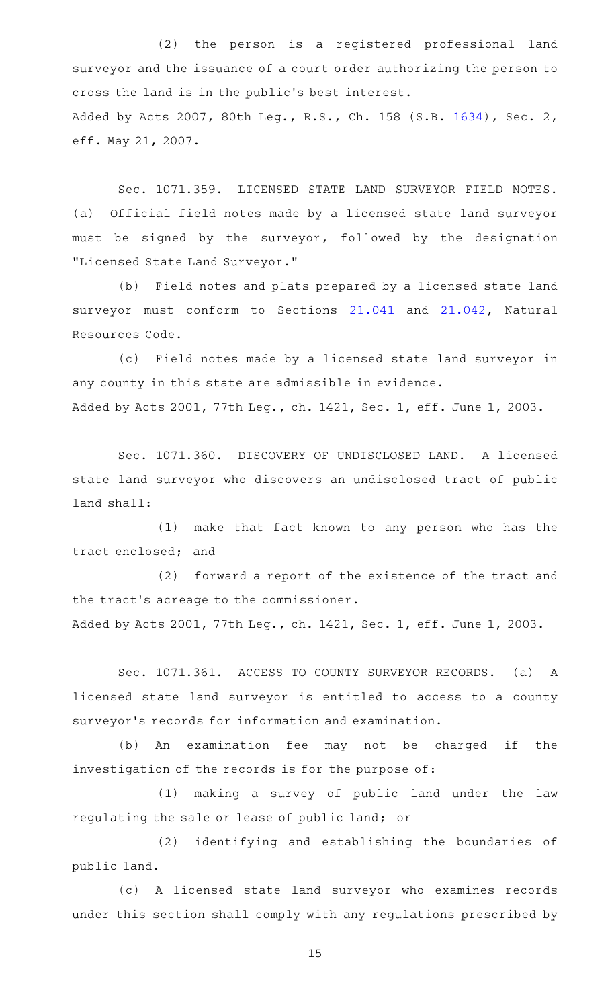(2) the person is a registered professional land surveyor and the issuance of a court order authorizing the person to cross the land is in the public 's best interest. Added by Acts 2007, 80th Leg., R.S., Ch. 158 (S.B. [1634](http://www.legis.state.tx.us/tlodocs/80R/billtext/html/SB01634F.HTM)), Sec. 2, eff. May 21, 2007.

Sec. 1071.359. LICENSED STATE LAND SURVEYOR FIELD NOTES. (a) Official field notes made by a licensed state land surveyor must be signed by the surveyor, followed by the designation "Licensed State Land Surveyor."

(b) Field notes and plats prepared by a licensed state land surveyor must conform to Sections [21.041](http://www.statutes.legis.state.tx.us/GetStatute.aspx?Code=NR&Value=21.041) and [21.042,](http://www.statutes.legis.state.tx.us/GetStatute.aspx?Code=NR&Value=21.042) Natural Resources Code.

(c) Field notes made by a licensed state land surveyor in any county in this state are admissible in evidence. Added by Acts 2001, 77th Leg., ch. 1421, Sec. 1, eff. June 1, 2003.

Sec. 1071.360. DISCOVERY OF UNDISCLOSED LAND. A licensed state land surveyor who discovers an undisclosed tract of public land shall:

(1) make that fact known to any person who has the tract enclosed; and

(2) forward a report of the existence of the tract and the tract 's acreage to the commissioner.

Added by Acts 2001, 77th Leg., ch. 1421, Sec. 1, eff. June 1, 2003.

Sec. 1071.361. ACCESS TO COUNTY SURVEYOR RECORDS. (a) A licensed state land surveyor is entitled to access to a county surveyor 's records for information and examination.

(b) An examination fee may not be charged if the investigation of the records is for the purpose of:

(1) making a survey of public land under the law regulating the sale or lease of public land; or

(2) identifying and establishing the boundaries of public land.

(c)AAA licensed state land surveyor who examines records under this section shall comply with any regulations prescribed by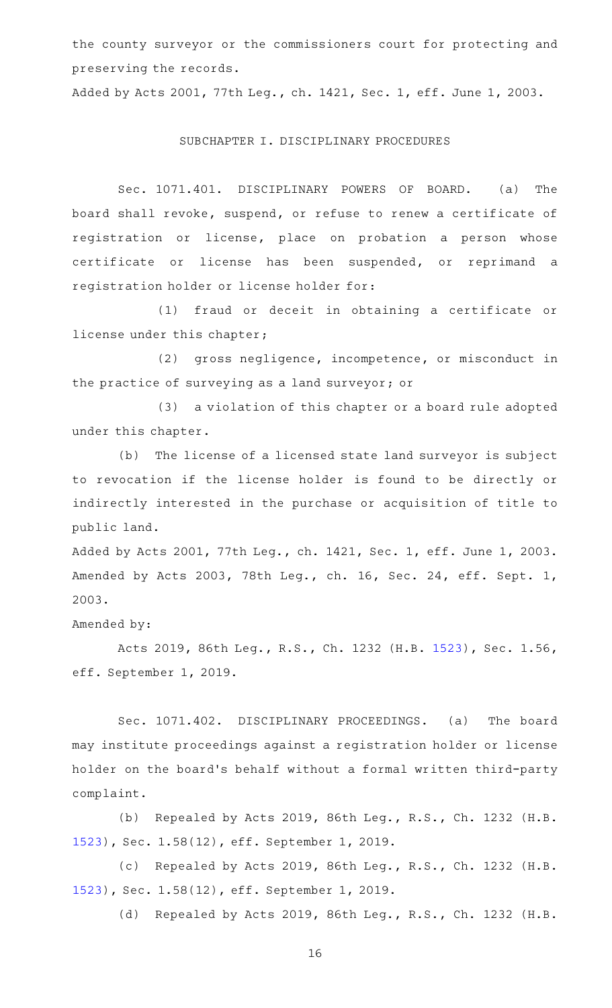the county surveyor or the commissioners court for protecting and preserving the records.

Added by Acts 2001, 77th Leg., ch. 1421, Sec. 1, eff. June 1, 2003.

#### SUBCHAPTER I. DISCIPLINARY PROCEDURES

Sec. 1071.401. DISCIPLINARY POWERS OF BOARD. (a) The board shall revoke, suspend, or refuse to renew a certificate of registration or license, place on probation a person whose certificate or license has been suspended, or reprimand a registration holder or license holder for:

(1) fraud or deceit in obtaining a certificate or license under this chapter;

(2) gross negligence, incompetence, or misconduct in the practice of surveying as a land surveyor; or

(3) a violation of this chapter or a board rule adopted under this chapter.

(b) The license of a licensed state land surveyor is subject to revocation if the license holder is found to be directly or indirectly interested in the purchase or acquisition of title to public land.

Added by Acts 2001, 77th Leg., ch. 1421, Sec. 1, eff. June 1, 2003. Amended by Acts 2003, 78th Leg., ch. 16, Sec. 24, eff. Sept. 1, 2003.

Amended by:

Acts 2019, 86th Leg., R.S., Ch. 1232 (H.B. [1523](http://www.legis.state.tx.us/tlodocs/86R/billtext/html/HB01523F.HTM)), Sec. 1.56, eff. September 1, 2019.

Sec. 1071.402. DISCIPLINARY PROCEEDINGS. (a) The board may institute proceedings against a registration holder or license holder on the board's behalf without a formal written third-party complaint.

(b) Repealed by Acts 2019, 86th Leg., R.S., Ch. 1232 (H.B. [1523](http://www.legis.state.tx.us/tlodocs/86R/billtext/html/HB01523F.HTM)), Sec. 1.58(12), eff. September 1, 2019.

(c) Repealed by Acts 2019, 86th Leg., R.S., Ch. 1232 (H.B. [1523](http://www.legis.state.tx.us/tlodocs/86R/billtext/html/HB01523F.HTM)), Sec. 1.58(12), eff. September 1, 2019.

(d) Repealed by Acts 2019, 86th Leg., R.S., Ch. 1232 (H.B.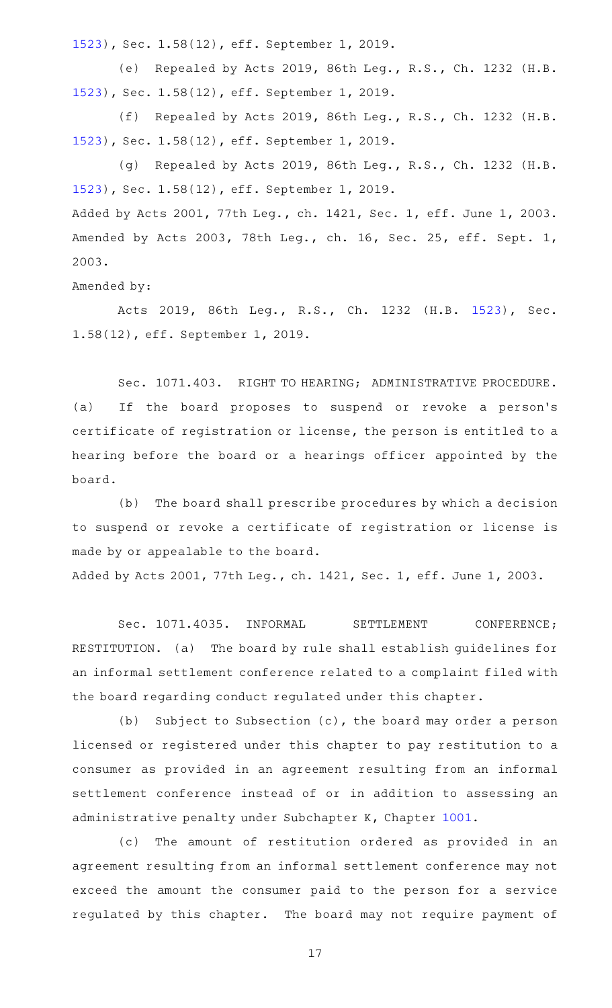[1523](http://www.legis.state.tx.us/tlodocs/86R/billtext/html/HB01523F.HTM)), Sec. 1.58(12), eff. September 1, 2019.

(e) Repealed by Acts 2019, 86th Leg., R.S., Ch. 1232 (H.B. [1523](http://www.legis.state.tx.us/tlodocs/86R/billtext/html/HB01523F.HTM)), Sec. 1.58(12), eff. September 1, 2019.

(f) Repealed by Acts 2019, 86th Leg., R.S., Ch. 1232 (H.B. [1523](http://www.legis.state.tx.us/tlodocs/86R/billtext/html/HB01523F.HTM)), Sec. 1.58(12), eff. September 1, 2019.

(g) Repealed by Acts 2019, 86th Leg., R.S., Ch. 1232 (H.B. [1523](http://www.legis.state.tx.us/tlodocs/86R/billtext/html/HB01523F.HTM)), Sec. 1.58(12), eff. September 1, 2019. Added by Acts 2001, 77th Leg., ch. 1421, Sec. 1, eff. June 1, 2003. Amended by Acts 2003, 78th Leg., ch. 16, Sec. 25, eff. Sept. 1, 2003.

Amended by:

Acts 2019, 86th Leg., R.S., Ch. 1232 (H.B. [1523\)](http://www.legis.state.tx.us/tlodocs/86R/billtext/html/HB01523F.HTM), Sec. 1.58(12), eff. September 1, 2019.

Sec. 1071.403. RIGHT TO HEARING; ADMINISTRATIVE PROCEDURE. (a) If the board proposes to suspend or revoke a person 's certificate of registration or license, the person is entitled to a hearing before the board or a hearings officer appointed by the board.

(b) The board shall prescribe procedures by which a decision to suspend or revoke a certificate of registration or license is made by or appealable to the board.

Added by Acts 2001, 77th Leg., ch. 1421, Sec. 1, eff. June 1, 2003.

Sec. 1071.4035. INFORMAL SETTLEMENT CONFERENCE; RESTITUTION. (a) The board by rule shall establish guidelines for an informal settlement conference related to a complaint filed with the board regarding conduct regulated under this chapter.

(b) Subject to Subsection  $(c)$ , the board may order a person licensed or registered under this chapter to pay restitution to a consumer as provided in an agreement resulting from an informal settlement conference instead of or in addition to assessing an administrative penalty under Subchapter K, Chapter [1001](http://www.statutes.legis.state.tx.us/GetStatute.aspx?Code=OC&Value=1001).

(c) The amount of restitution ordered as provided in an agreement resulting from an informal settlement conference may not exceed the amount the consumer paid to the person for a service regulated by this chapter. The board may not require payment of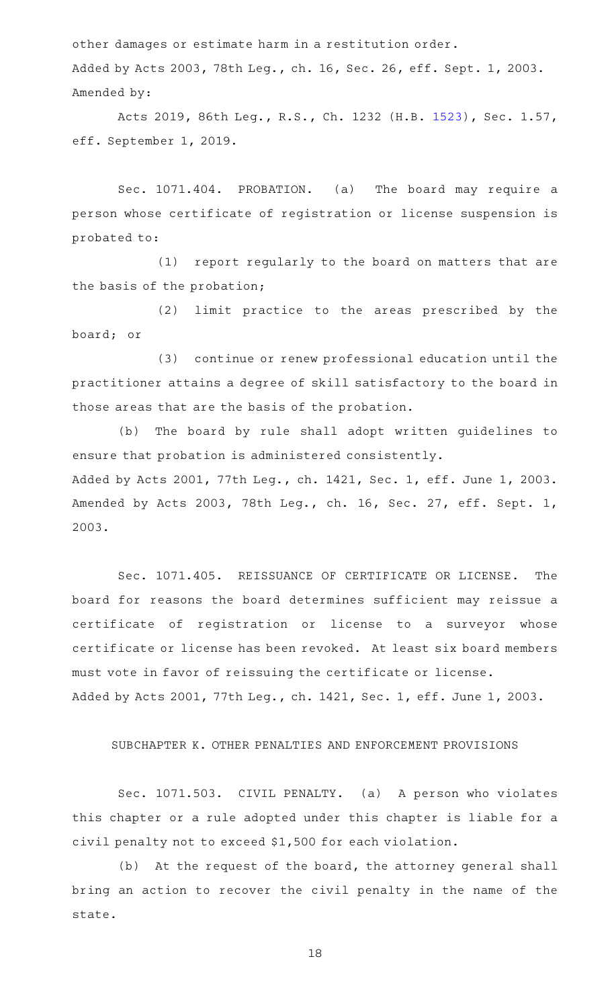other damages or estimate harm in a restitution order. Added by Acts 2003, 78th Leg., ch. 16, Sec. 26, eff. Sept. 1, 2003. Amended by:

Acts 2019, 86th Leg., R.S., Ch. 1232 (H.B. [1523](http://www.legis.state.tx.us/tlodocs/86R/billtext/html/HB01523F.HTM)), Sec. 1.57, eff. September 1, 2019.

Sec. 1071.404. PROBATION. (a) The board may require a person whose certificate of registration or license suspension is probated to:

(1) report regularly to the board on matters that are the basis of the probation;

(2) limit practice to the areas prescribed by the board; or

(3) continue or renew professional education until the practitioner attains a degree of skill satisfactory to the board in those areas that are the basis of the probation.

(b) The board by rule shall adopt written guidelines to ensure that probation is administered consistently. Added by Acts 2001, 77th Leg., ch. 1421, Sec. 1, eff. June 1, 2003. Amended by Acts 2003, 78th Leg., ch. 16, Sec. 27, eff. Sept. 1, 2003.

Sec. 1071.405. REISSUANCE OF CERTIFICATE OR LICENSE. The board for reasons the board determines sufficient may reissue a certificate of registration or license to a surveyor whose certificate or license has been revoked. At least six board members must vote in favor of reissuing the certificate or license. Added by Acts 2001, 77th Leg., ch. 1421, Sec. 1, eff. June 1, 2003.

## SUBCHAPTER K. OTHER PENALTIES AND ENFORCEMENT PROVISIONS

Sec. 1071.503. CIVIL PENALTY. (a) A person who violates this chapter or a rule adopted under this chapter is liable for a civil penalty not to exceed \$1,500 for each violation.

(b) At the request of the board, the attorney general shall bring an action to recover the civil penalty in the name of the state.